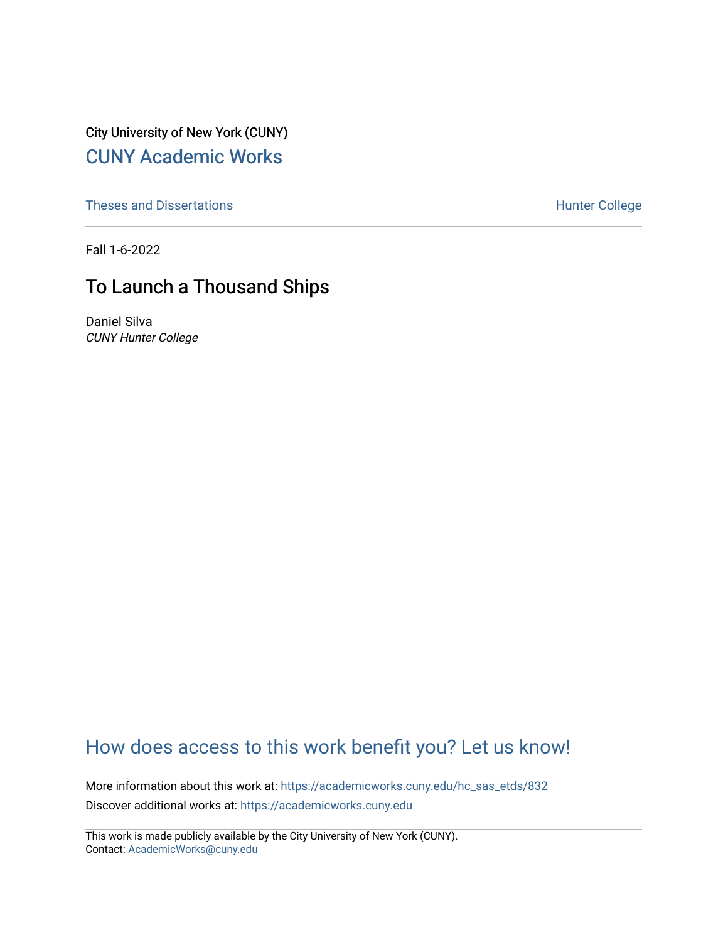City University of New York (CUNY) [CUNY Academic Works](https://academicworks.cuny.edu/) 

[Theses and Dissertations](https://academicworks.cuny.edu/hc_sas_etds) **Hunter College** 

Fall 1-6-2022

# To Launch a Thousand Ships

Daniel Silva CUNY Hunter College

# [How does access to this work benefit you? Let us know!](http://ols.cuny.edu/academicworks/?ref=https://academicworks.cuny.edu/hc_sas_etds/832)

More information about this work at: [https://academicworks.cuny.edu/hc\\_sas\\_etds/832](https://academicworks.cuny.edu/hc_sas_etds/832)  Discover additional works at: [https://academicworks.cuny.edu](https://academicworks.cuny.edu/?)

This work is made publicly available by the City University of New York (CUNY). Contact: [AcademicWorks@cuny.edu](mailto:AcademicWorks@cuny.edu)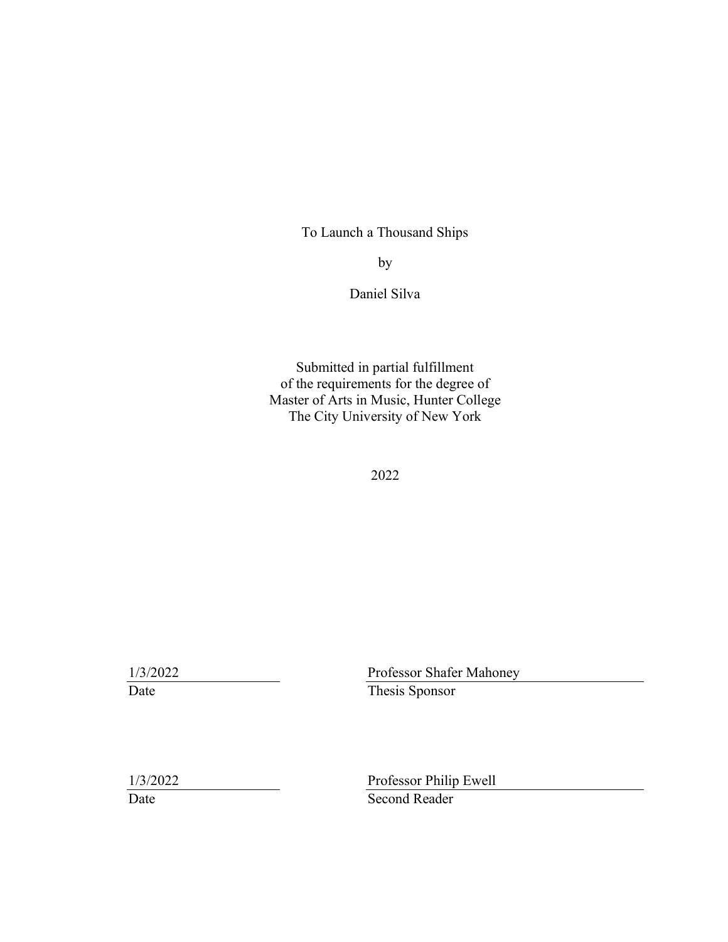To Launch a Thousand Ships

by

Daniel Silva

Submitted in partial fulfillment of the requirements for the degree of Master of Arts in Music, Hunter College The City University of New York

2022

1/3/2022 Professor Shafer Mahoney

Date Thesis Sponsor

1/3/2022 Professor Philip Ewell

Date Second Reader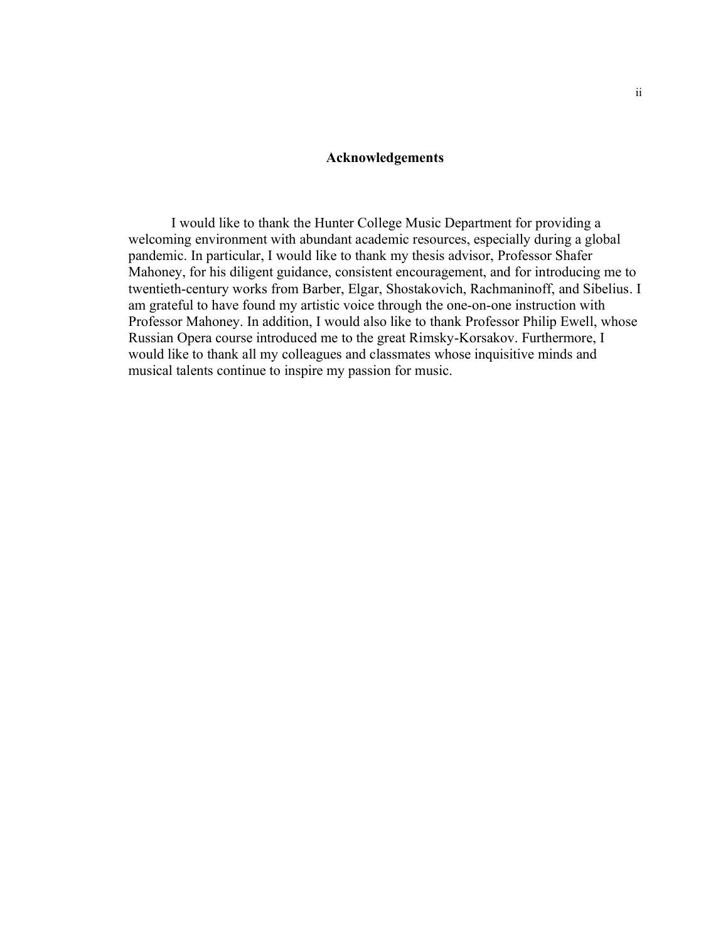### **Acknowledgements**

I would like to thank the Hunter College Music Department for providing a welcoming environment with abundant academic resources, especially during a global pandemic. In particular, I would like to thank my thesis advisor, Professor Shafer Mahoney, for his diligent guidance, consistent encouragement, and for introducing me to twentieth-century works from Barber, Elgar, Shostakovich, Rachmaninoff, and Sibelius. I am grateful to have found my artistic voice through the one-on-one instruction with Professor Mahoney. In addition, I would also like to thank Professor Philip Ewell, whose Russian Opera course introduced me to the great Rimsky-Korsakov. Furthermore, I would like to thank all my colleagues and classmates whose inquisitive minds and musical talents continue to inspire my passion for music.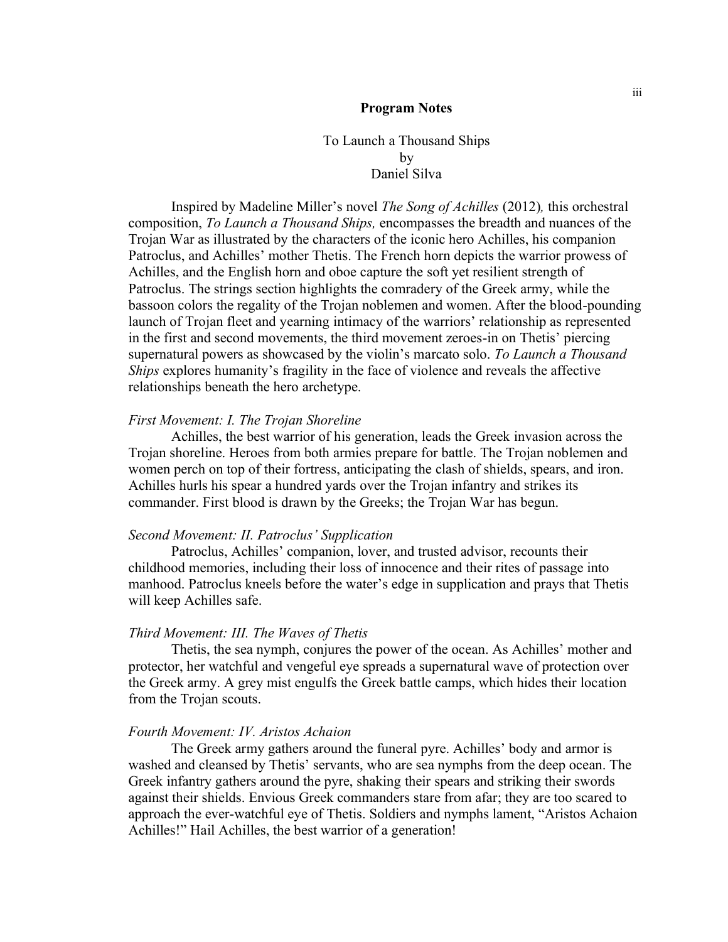### To Launch a Thousand Ships by Daniel Silva

Inspired by Madeline Miller's novel *The Song of Achilles* (2012), this orchestral composition, *To Launch a Thousand Ships,* encompasses the breadth and nuances of the Trojan War as illustrated by the characters of the iconic hero Achilles, his companion Patroclus, and Achilles' mother Thetis. The French horn depicts the warrior prowess of Achilles, and the English horn and oboe capture the soft yet resilient strength of Patroclus. The strings section highlights the comradery of the Greek army, while the bassoon colors the regality of the Trojan noblemen and women. After the blood-pounding launch of Trojan fleet and yearning intimacy of the warriors' relationship as represented in the first and second movements, the third movement zeroes-in on Thetis' piercing supernatural powers as showcased by the violin's marcato solo. *To Launch a Thousand Ships* explores humanity's fragility in the face of violence and reveals the affective relationships beneath the hero archetype.

#### *First Movement: I. The Trojan Shoreline*

Achilles, the best warrior of his generation, leads the Greek invasion across the Trojan shoreline. Heroes from both armies prepare for battle. The Trojan noblemen and women perch on top of their fortress, anticipating the clash of shields, spears, and iron. Achilles hurls his spear a hundred yards over the Trojan infantry and strikes its commander. First blood is drawn by the Greeks; the Trojan War has begun.

#### *Second Movement: II. Patroclus' Supplication*

Patroclus, Achilles' companion, lover, and trusted advisor, recounts their childhood memories, including their loss of innocence and their rites of passage into manhood. Patroclus kneels before the water's edge in supplication and prays that Thetis will keep Achilles safe.

#### *Third Movement: III. The Waves of Thetis*

Thetis, the sea nymph, conjures the power of the ocean. As Achilles' mother and protector, her watchful and vengeful eye spreads a supernatural wave of protection over the Greek army. A grey mist engulfs the Greek battle camps, which hides their location from the Trojan scouts.

#### *Fourth Movement: IV. Aristos Achaion*

The Greek army gathers around the funeral pyre. Achilles' body and armor is washed and cleansed by Thetis' servants, who are sea nymphs from the deep ocean. The Greek infantry gathers around the pyre, shaking their spears and striking their swords against their shields. Envious Greek commanders stare from afar; they are too scared to approach the ever-watchful eye of Thetis. Soldiers and nymphs lament, "Aristos Achaion" Achilles!" Hail Achilles, the best warrior of a generation!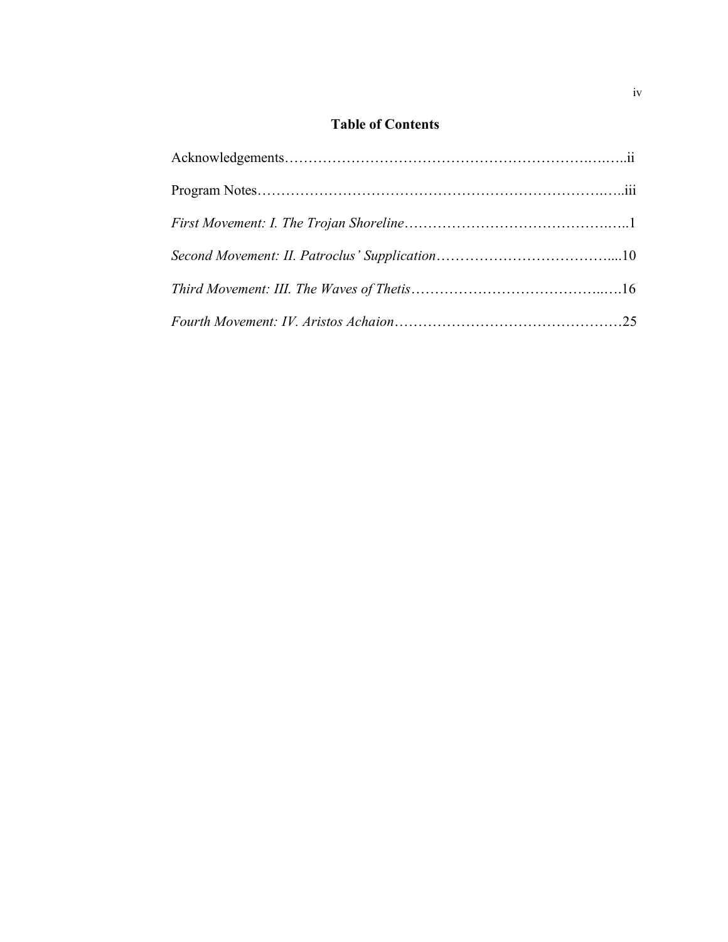## **Table of Contents**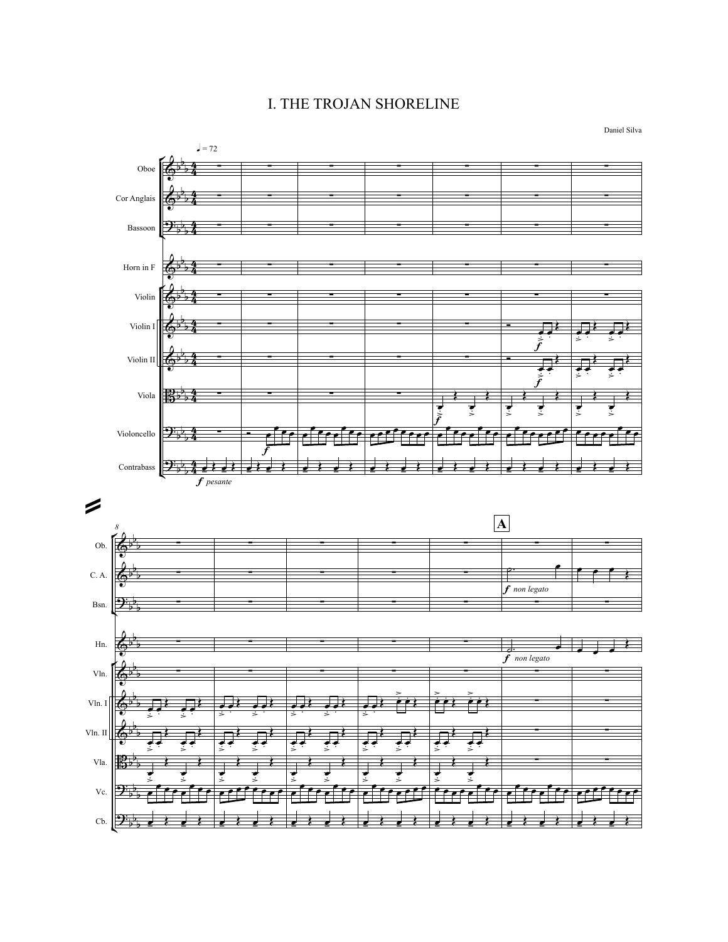## I. THE TROJAN SHORELINE

 $l = 72$ Oboe К Cor Anglais 6 Bassoon Horn in F Violin Violin I ₹ ∃≹  $\overline{\mathcal{L}}$ Violin II 7  $\mathbb{B}$ Viola Violoncello <u>. (</u> <u>ree</u> Contrabass  $\mathbf{P}$  $\cdot$  $f$  pesante  $\geq$  $\vert \mathbf{A} \vert$ Ob.  $C. A.$  $f$  non legato --Bsn. Hn.  $\check{f}$  non legato Vln. 7  $\overrightarrow{a}$ ∏∤  $\overline{\phantom{a}}$  $\Box$ 去 Vln. I к ₹  $Vln.$  II 其 秉 妻 ≢ ╤┋ 7  $\Box^{\xi}$ 日 Vla. ₩  $\overrightarrow{p}$ Vc. <u>Э</u> أكلته e freg  $^{\prime}$  (  $^{\prime}$  $\bar{\textbf{c}}$  $\overline{\phantom{a}}$ € Cb.  $2\frac{1}{2}$  $\overrightarrow{ }$  $\rightarrow$ 

Daniel Silva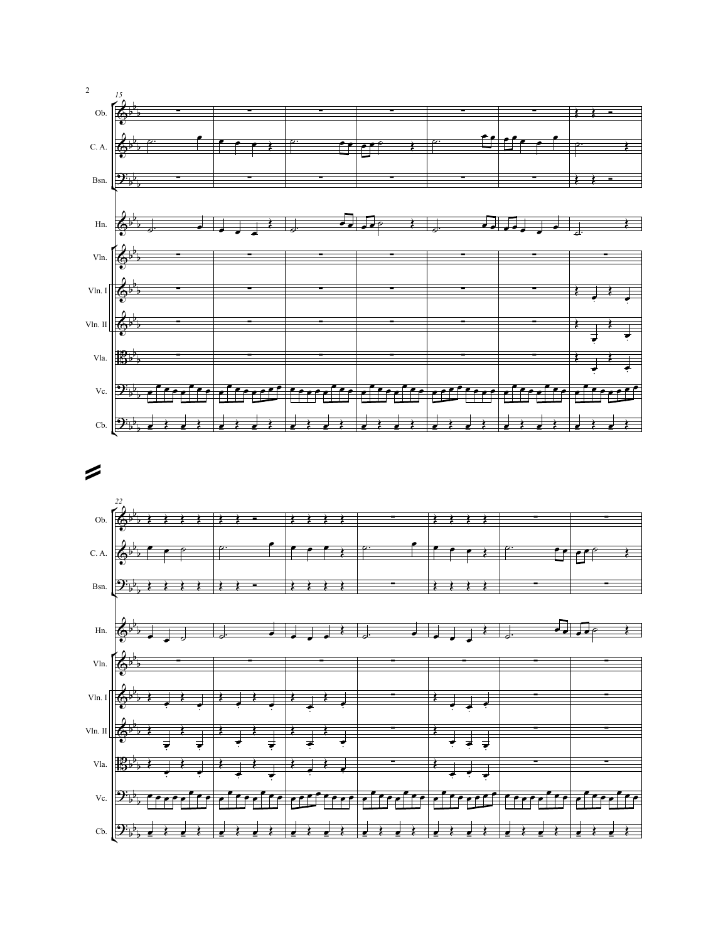



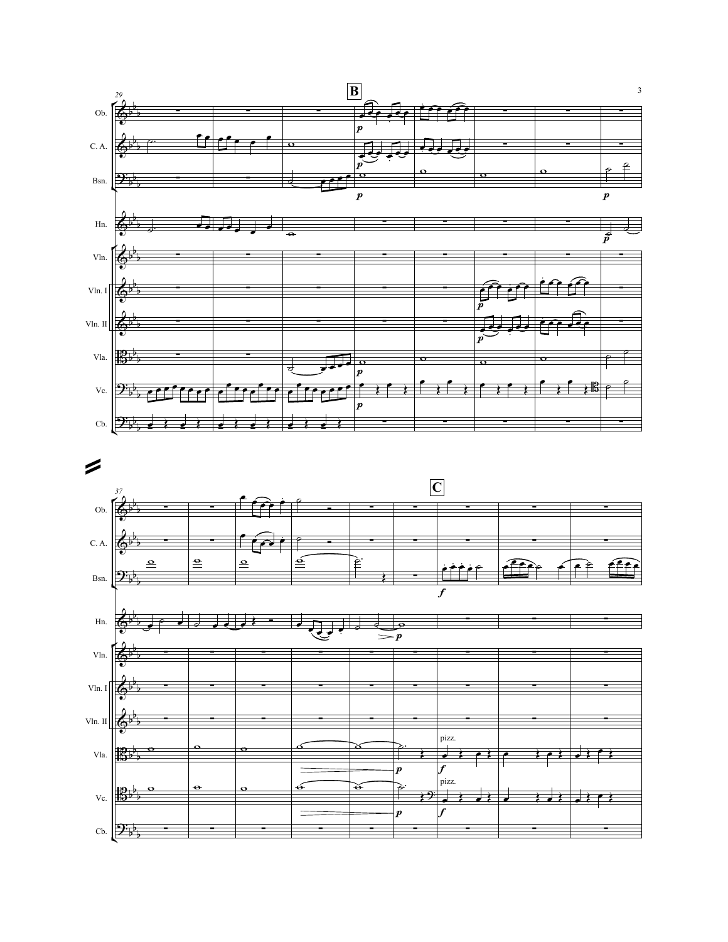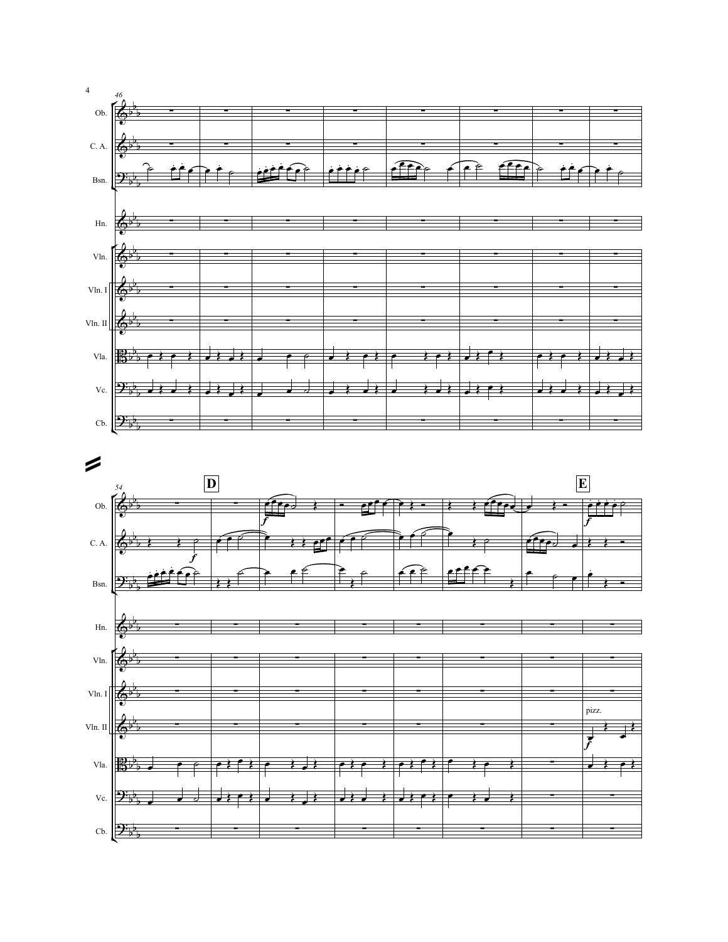

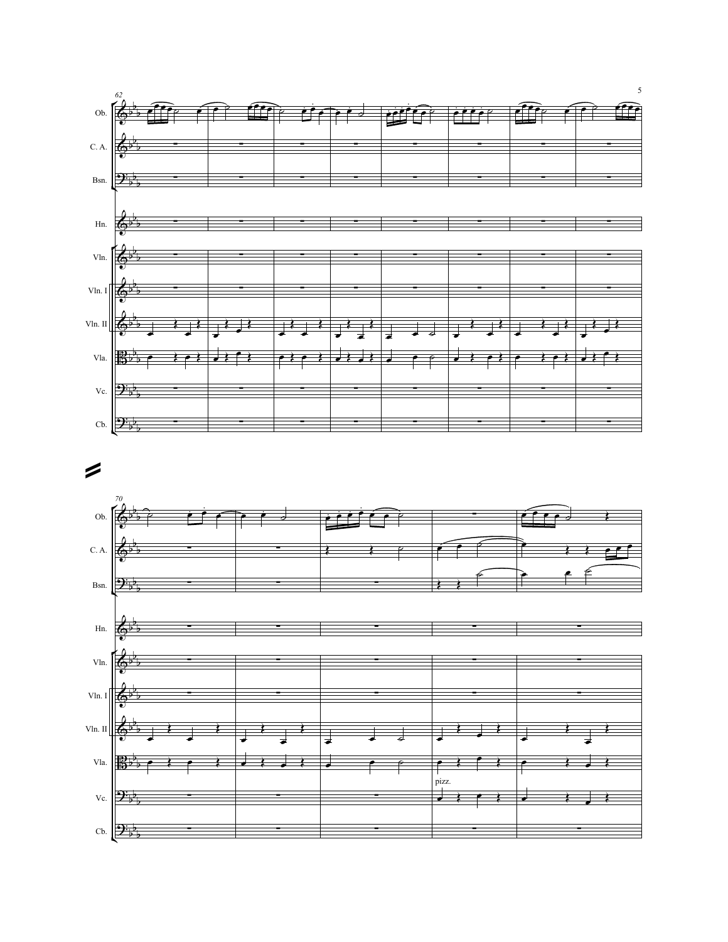



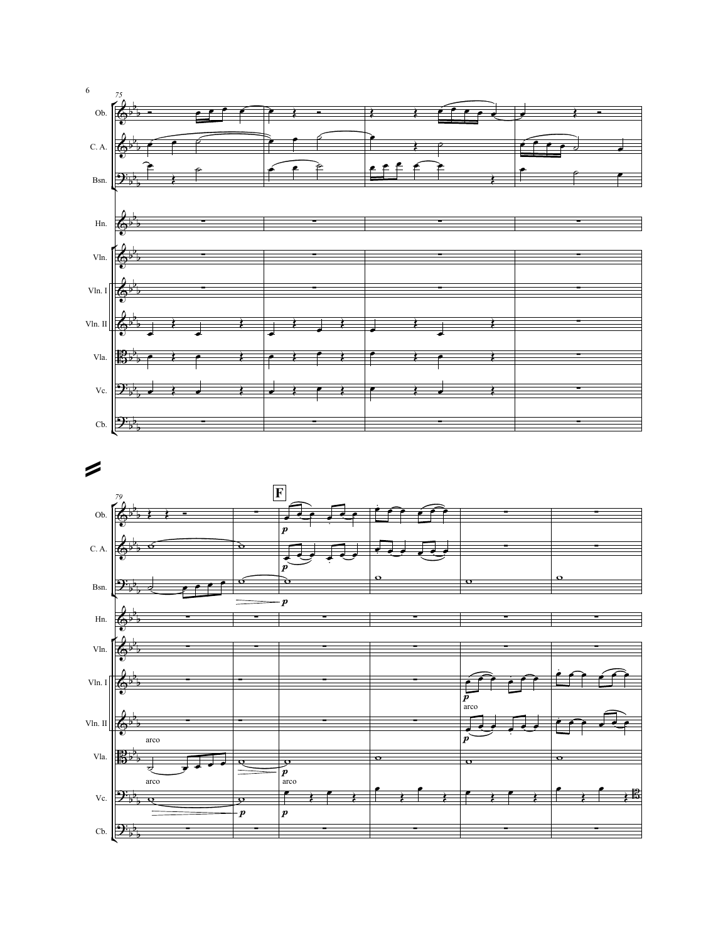

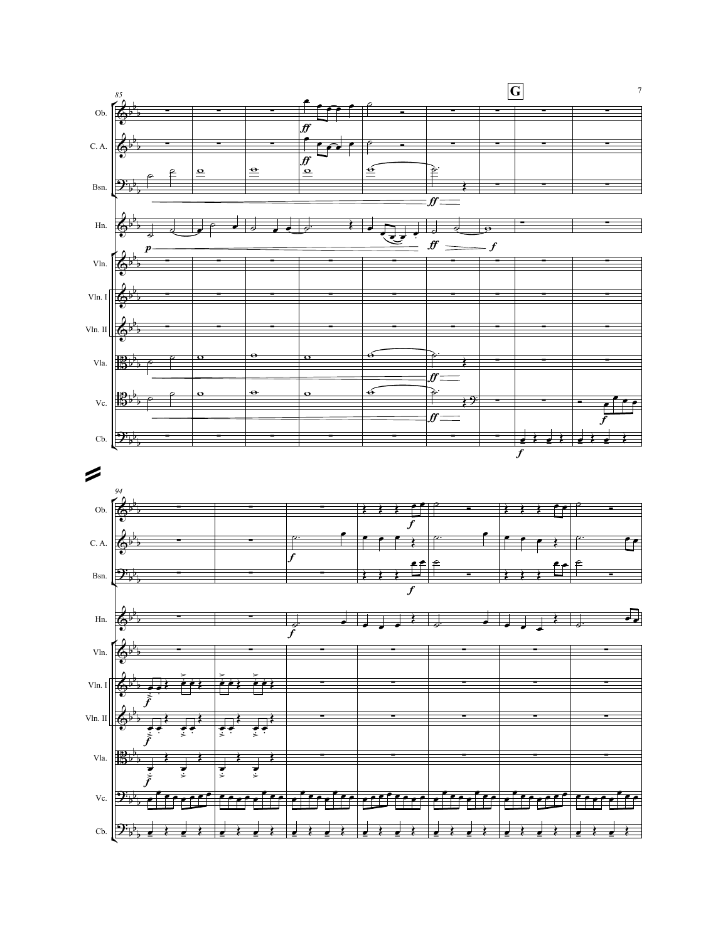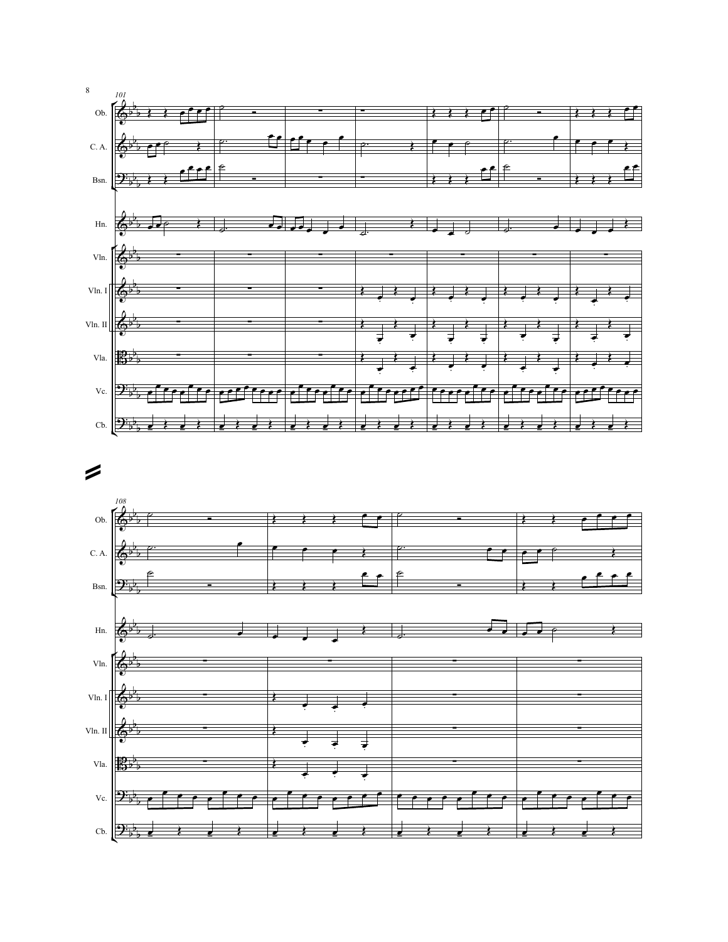



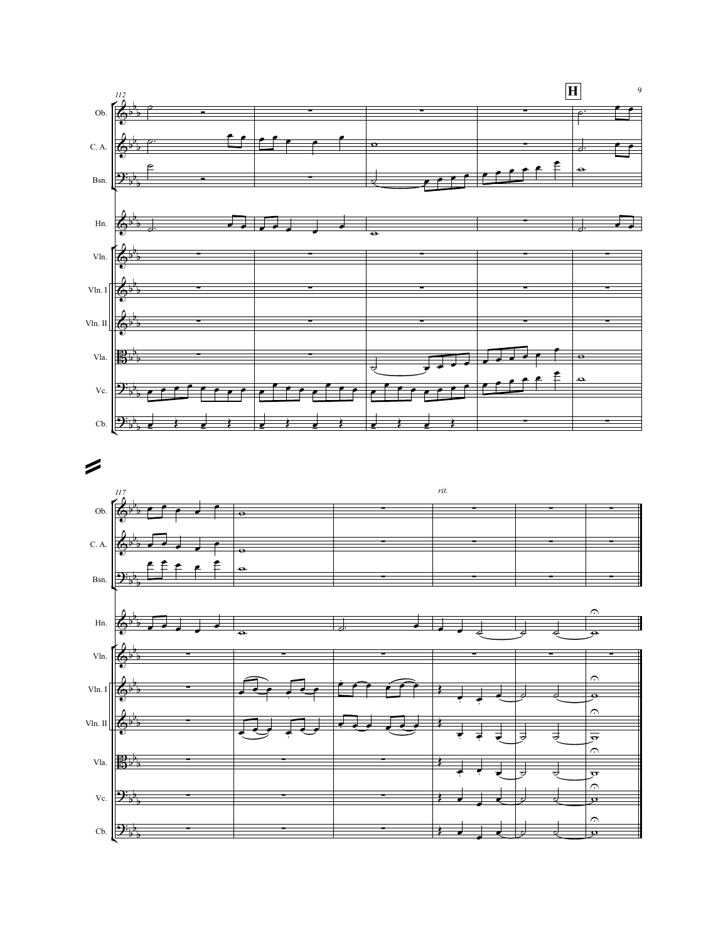



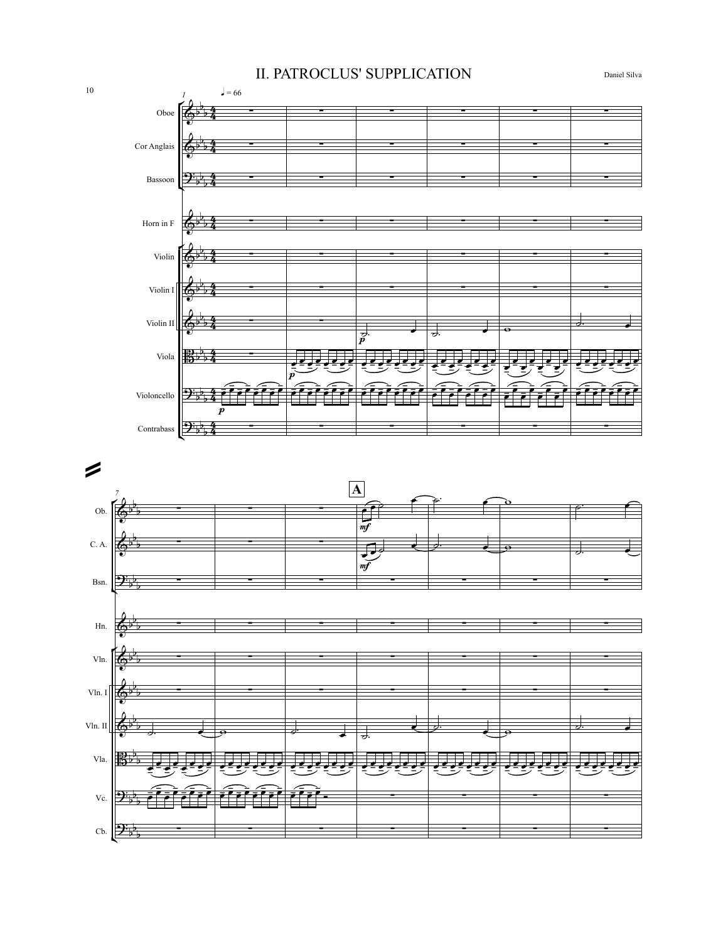$C<sub>b</sub>$ . Ę

 $= 66$ Oboe  $\mathcal{L}$ Cor Anglais Bassoon Horn in  ${\rm F}$ 7 Violin Violin I Violin II Viola ▞▞  $2\pm$ Violoncello  $\bar{p}$  $|{\mathfrak H}_\flat|$ Contrabass  $\overline{\phantom{a}}$  $\boxed{\mathbf{A}}$ Ob.  $\frac{1}{m}$  $C.A.$ К Bsn. Hn. Vln. Ъ  $V<sub>ln</sub>$ . I  $Vln.$  II 7 Vla. ₩ ī Vc. 9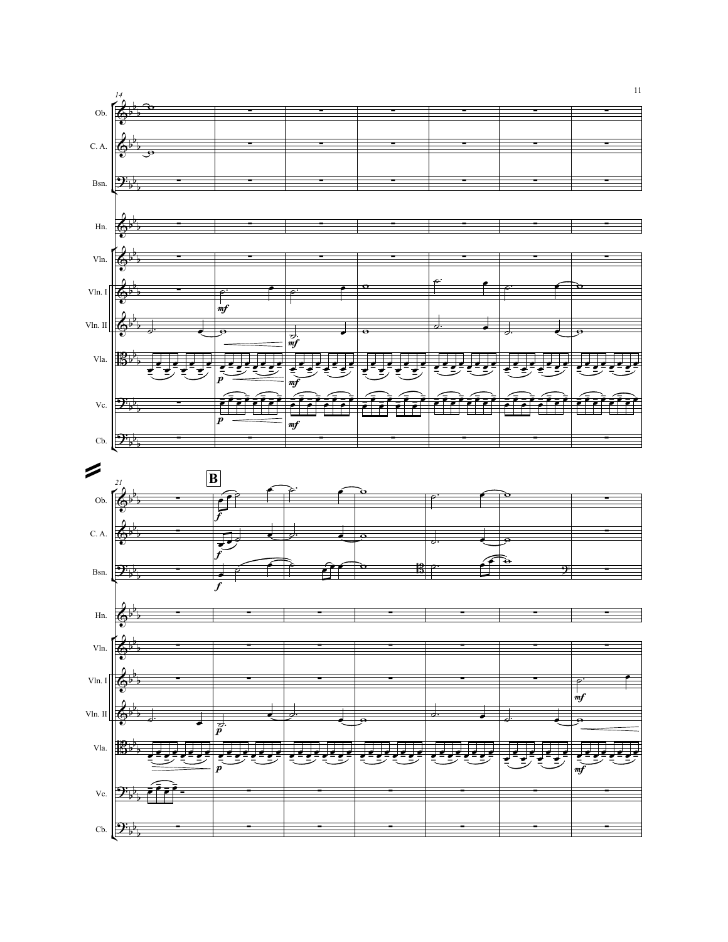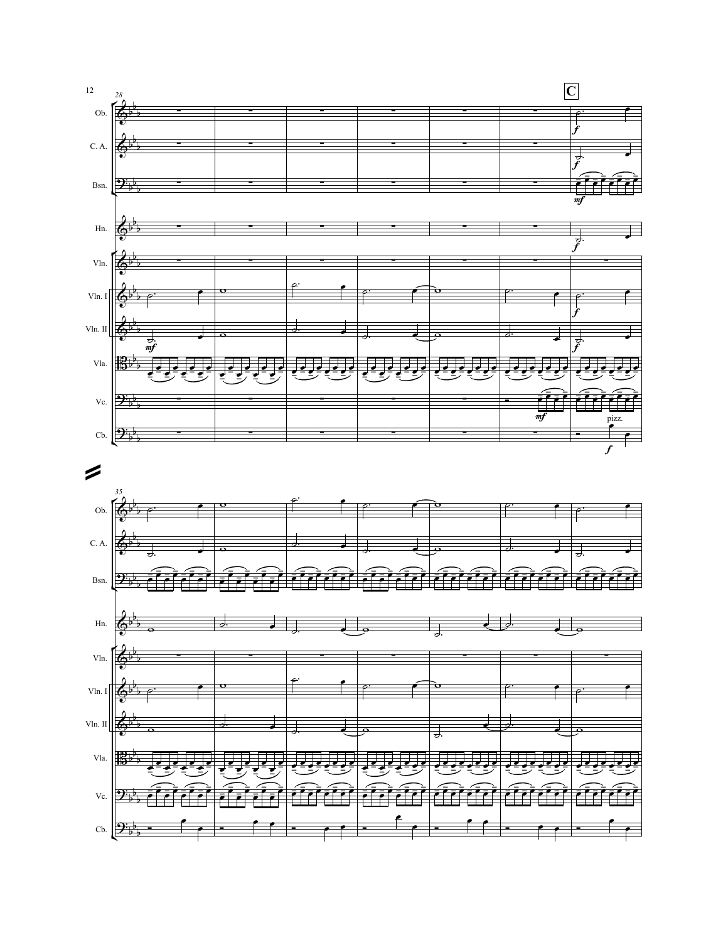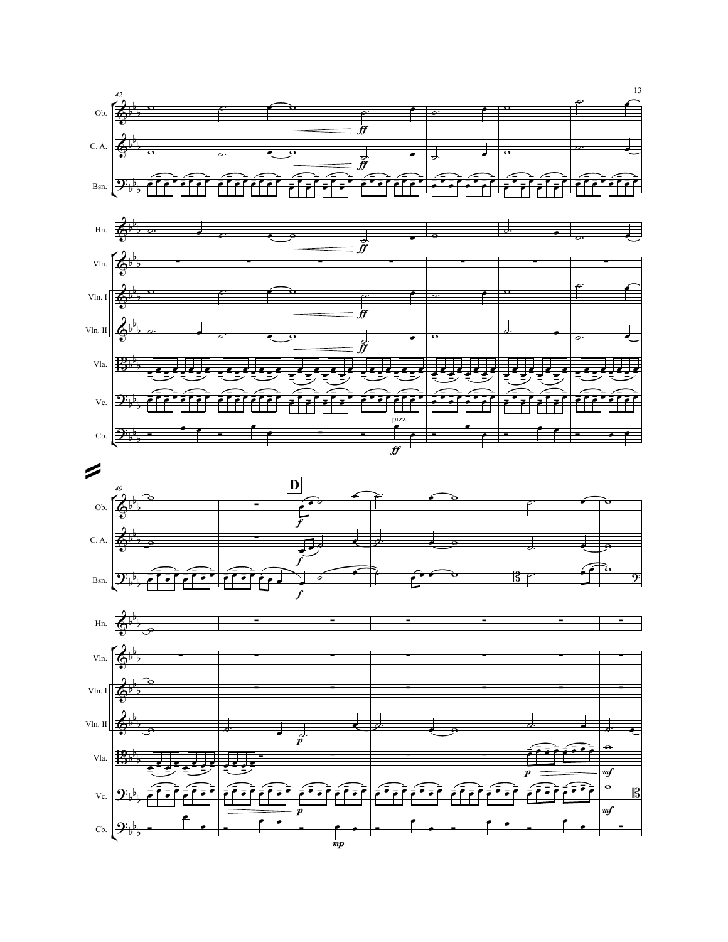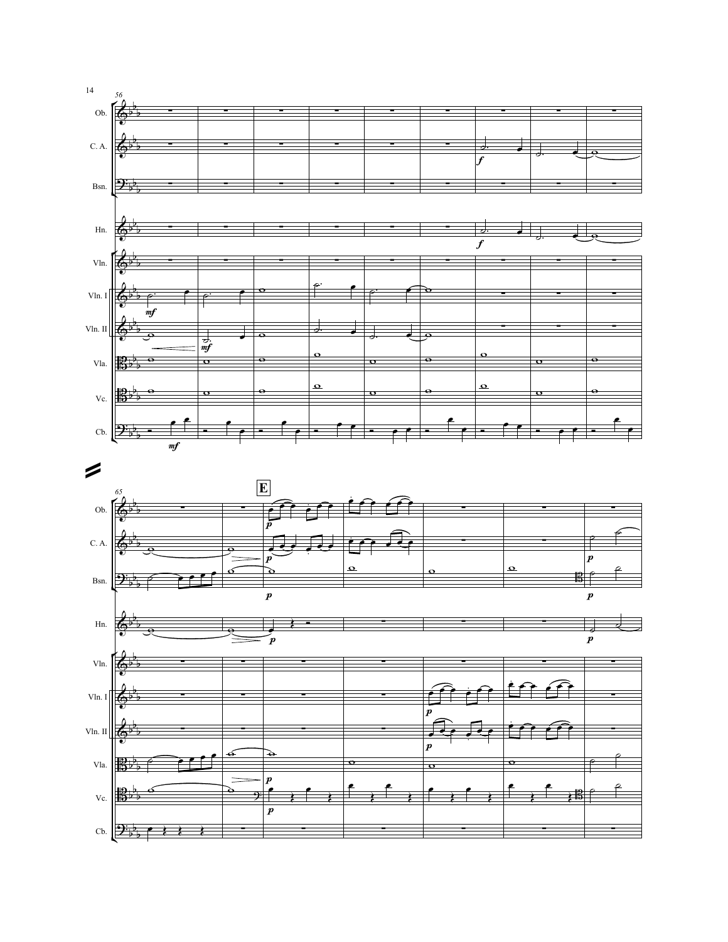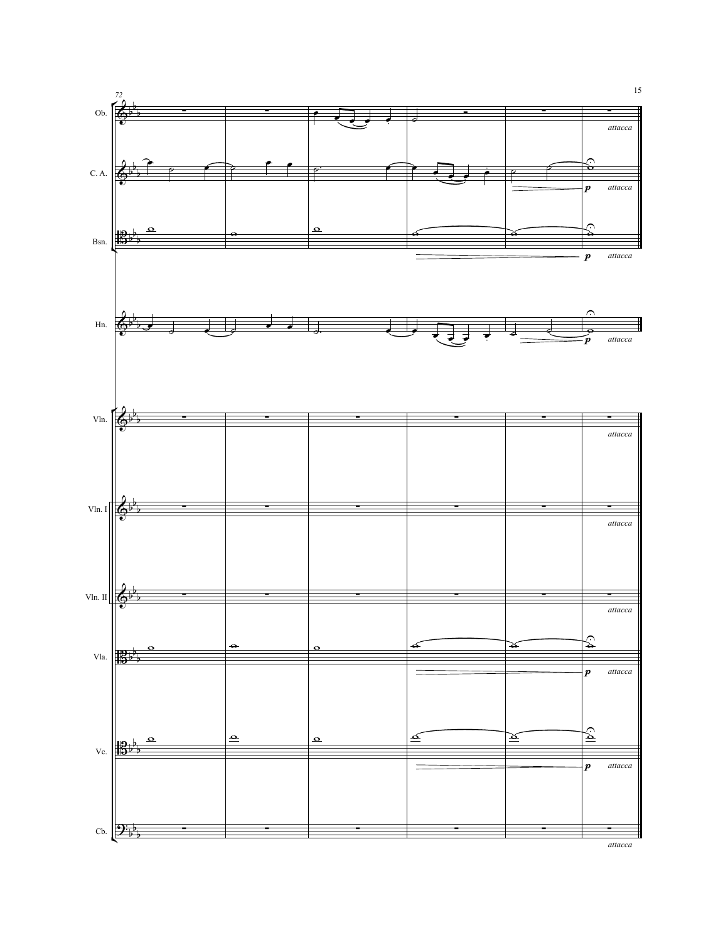

 $attacca$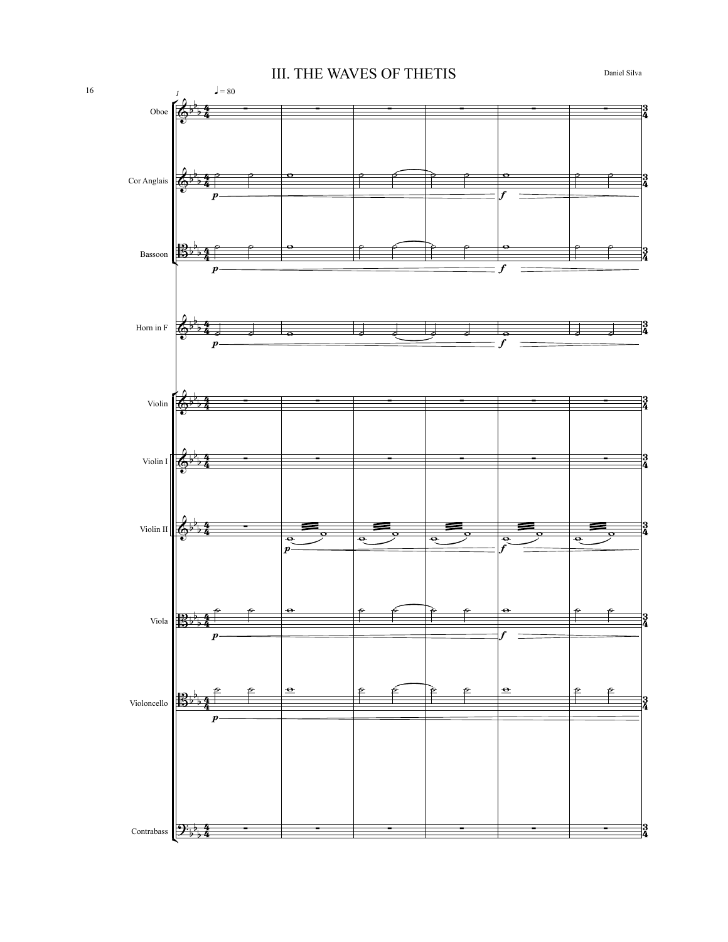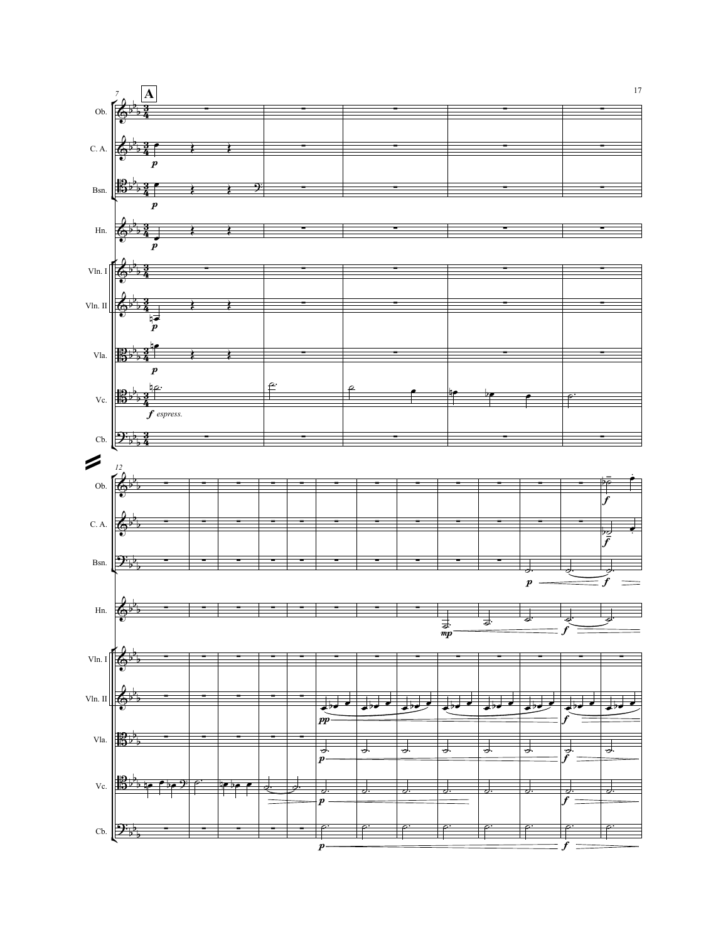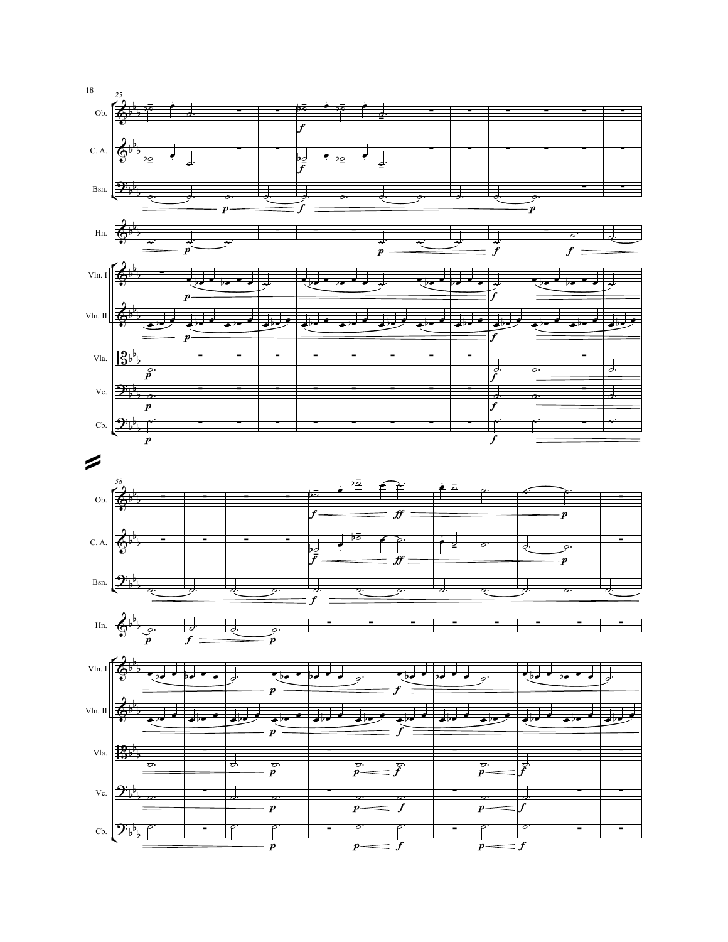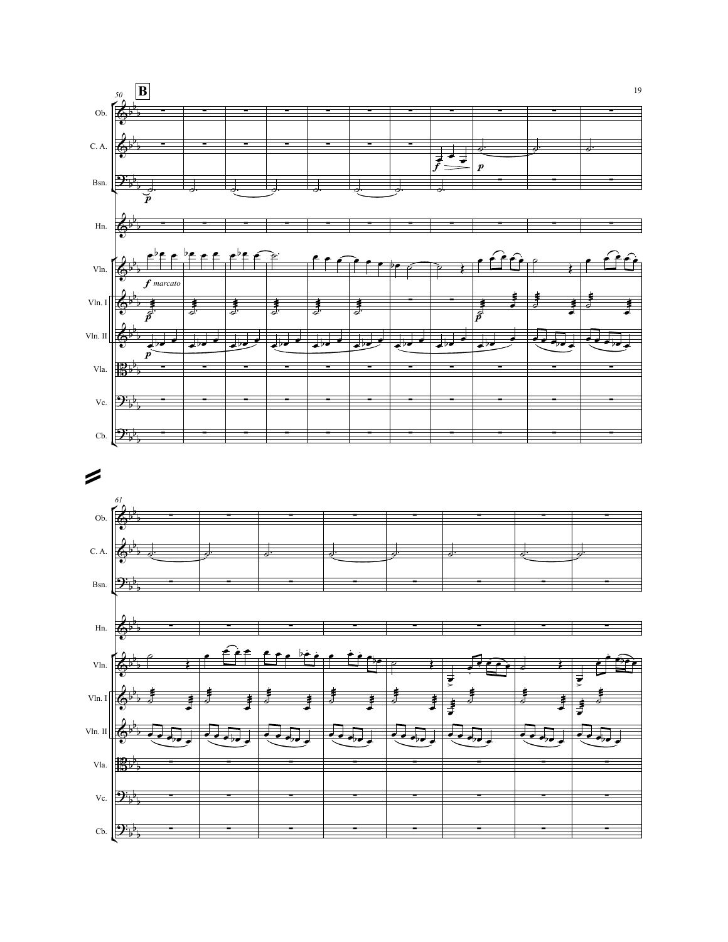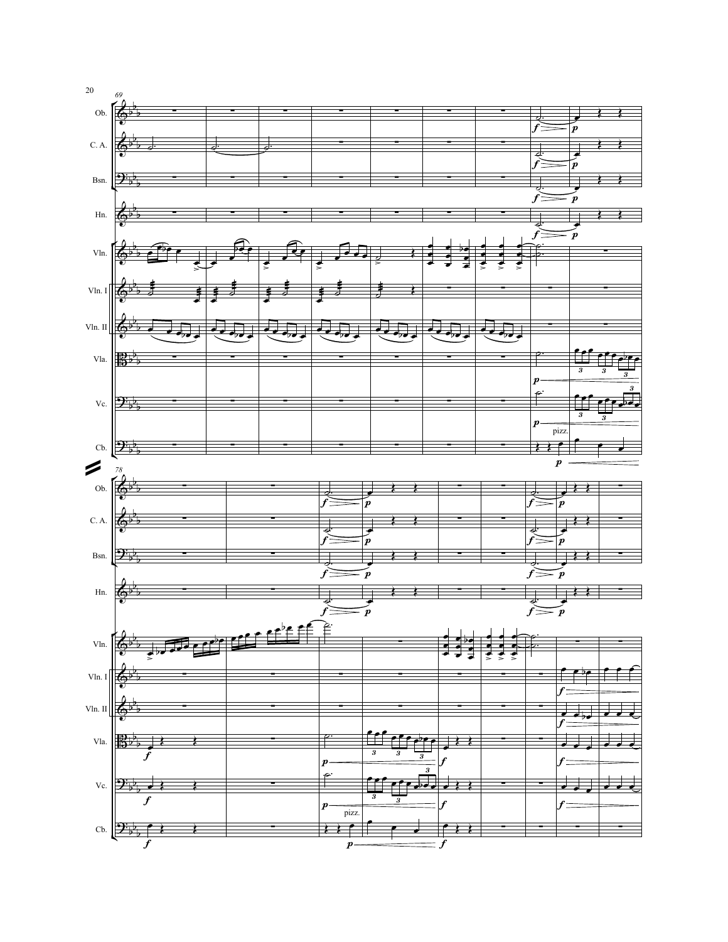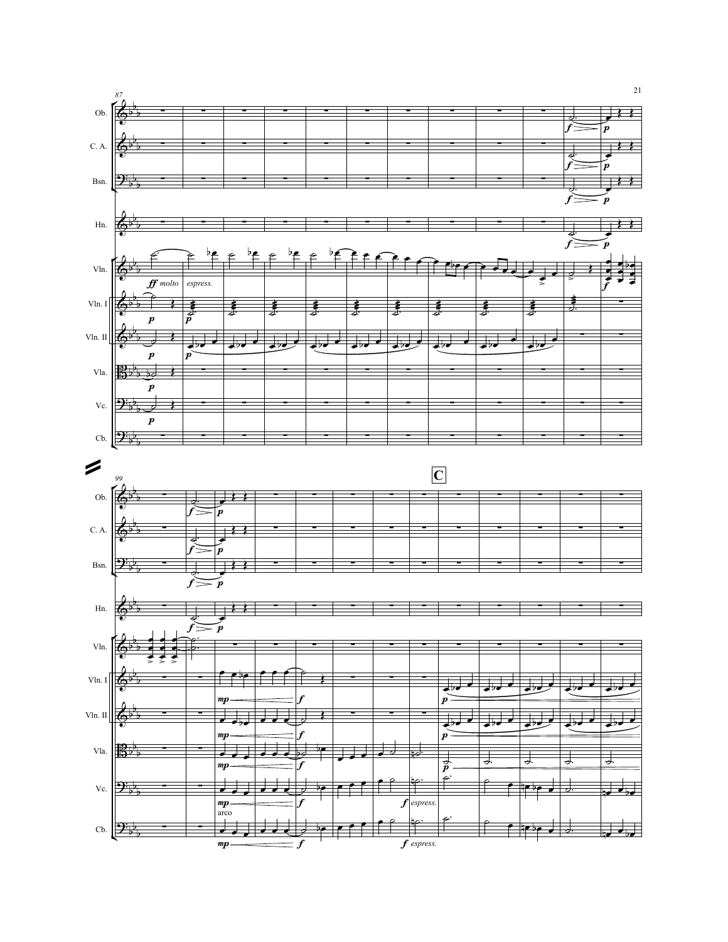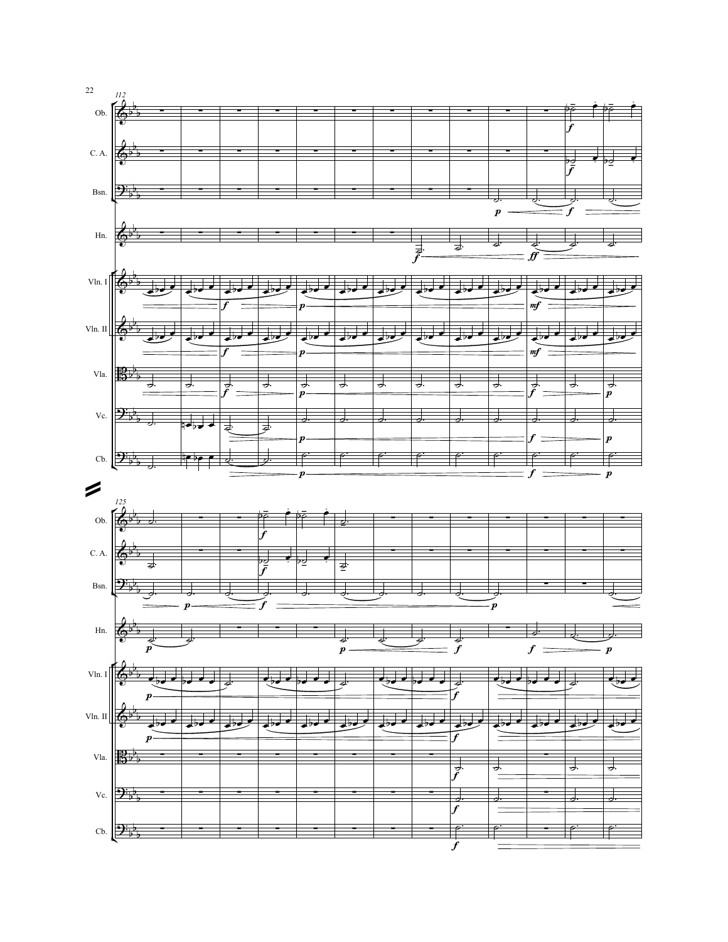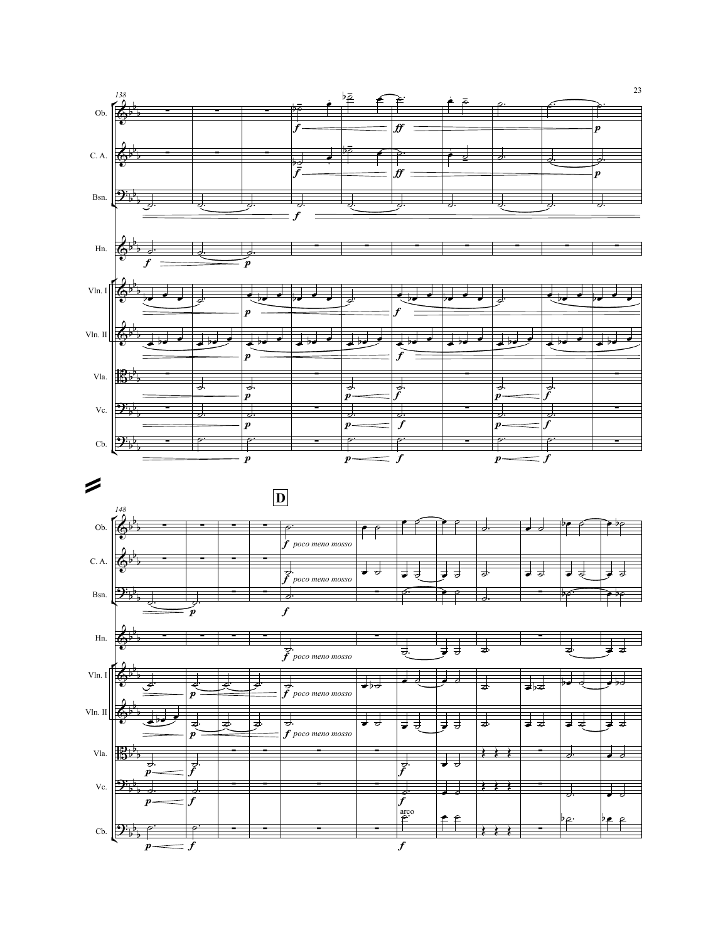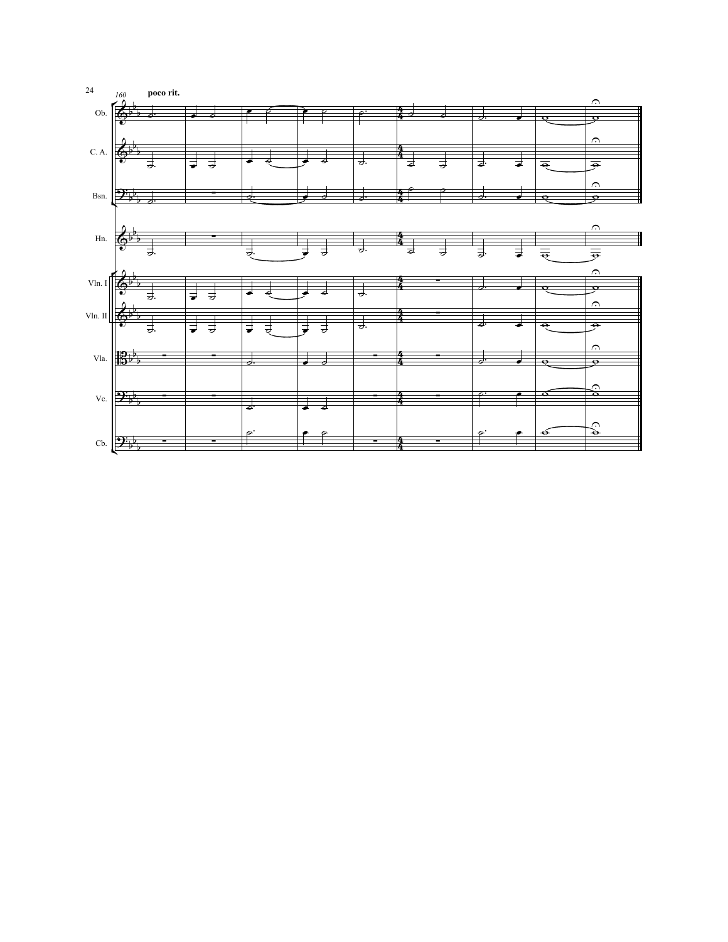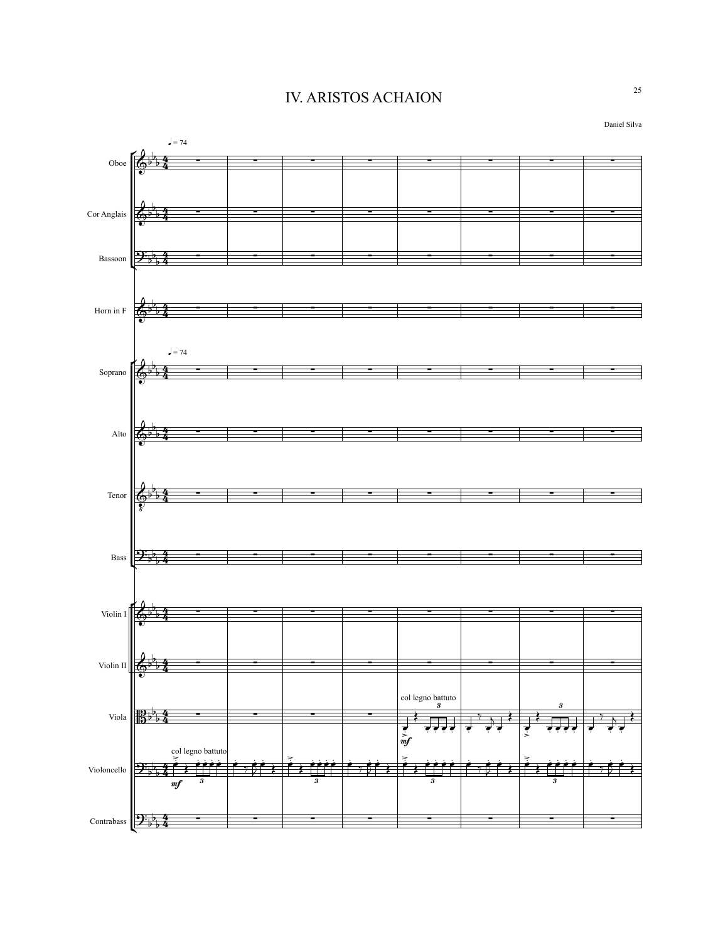Daniel Silva



25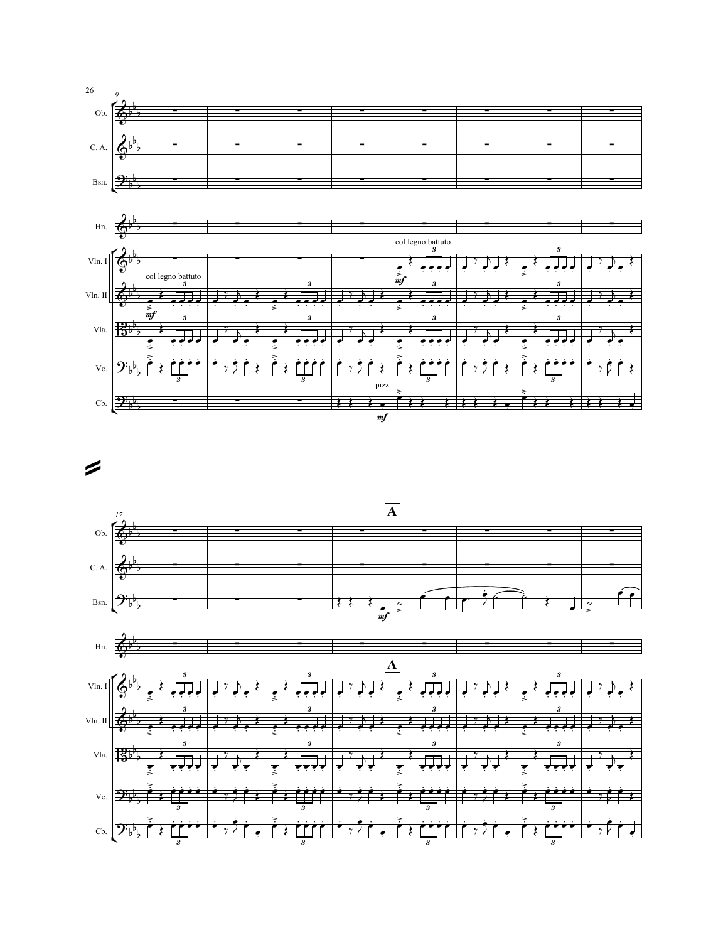



 $\boldsymbol{z}$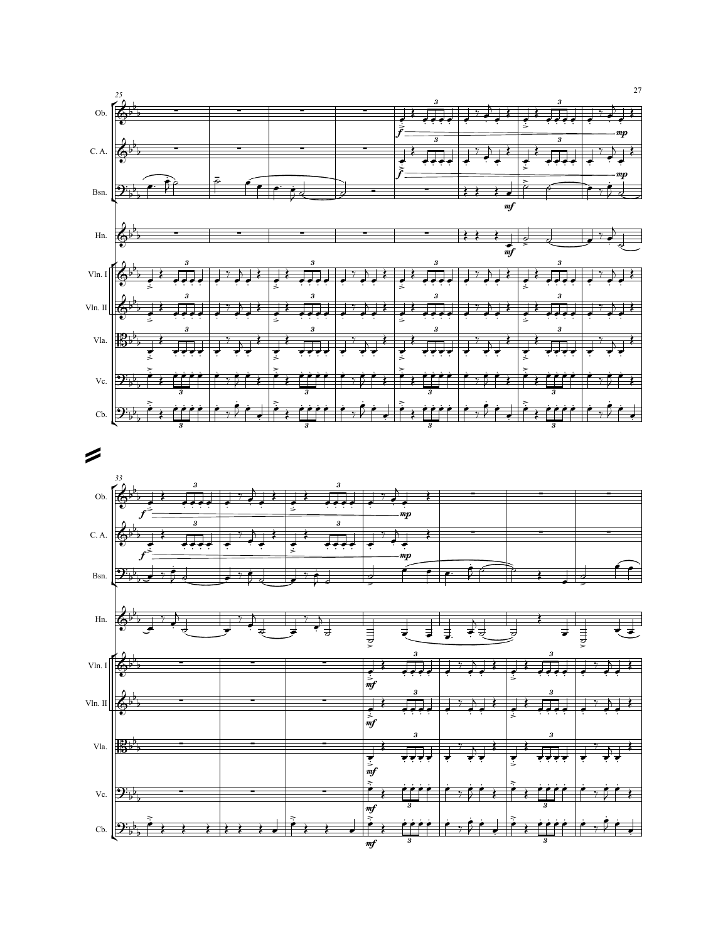

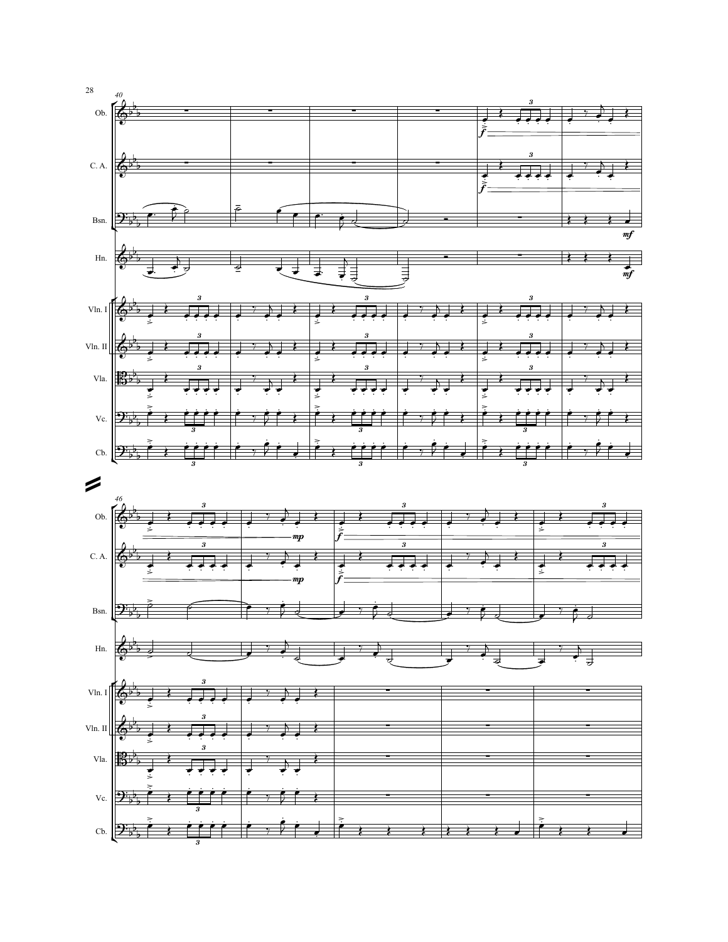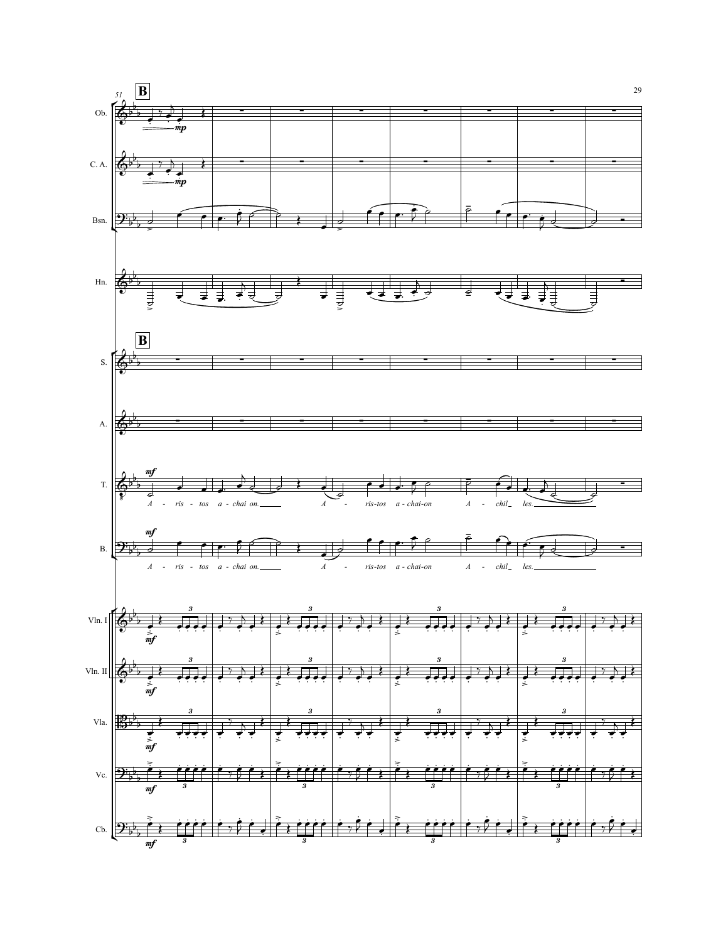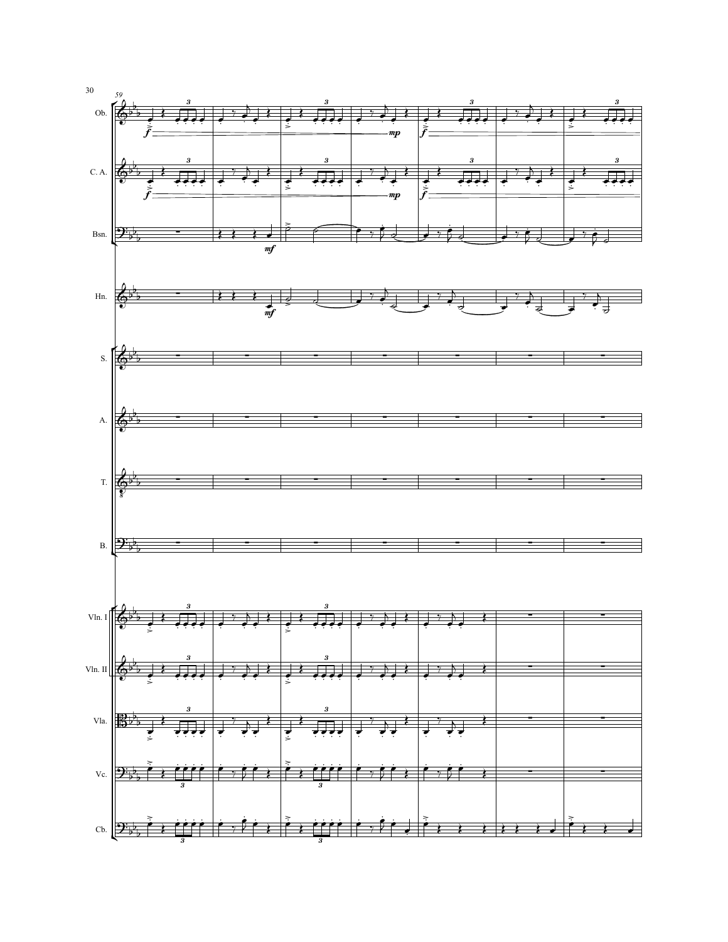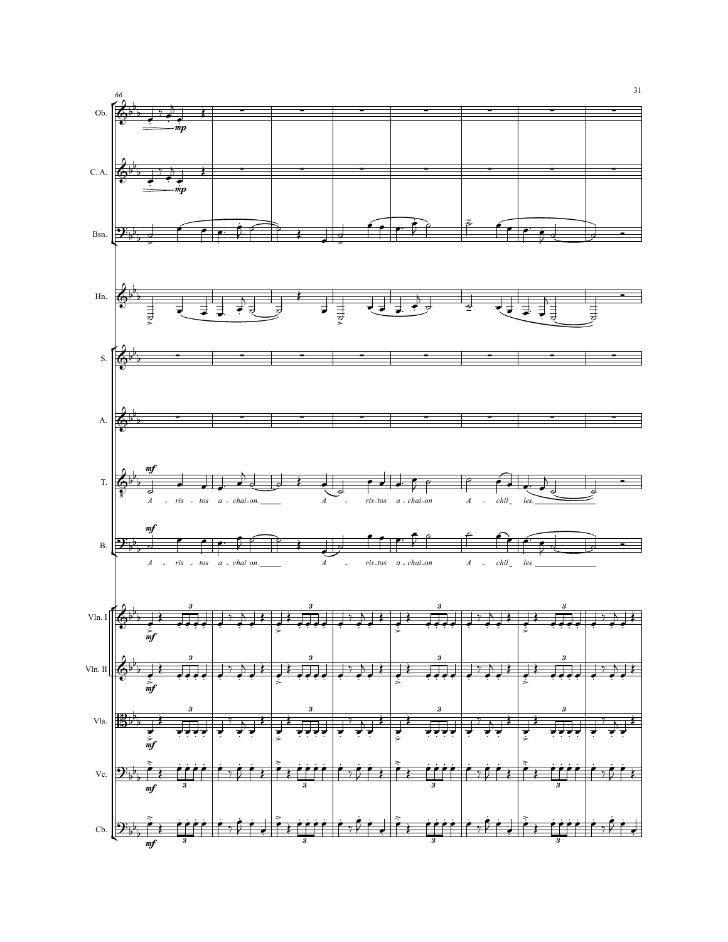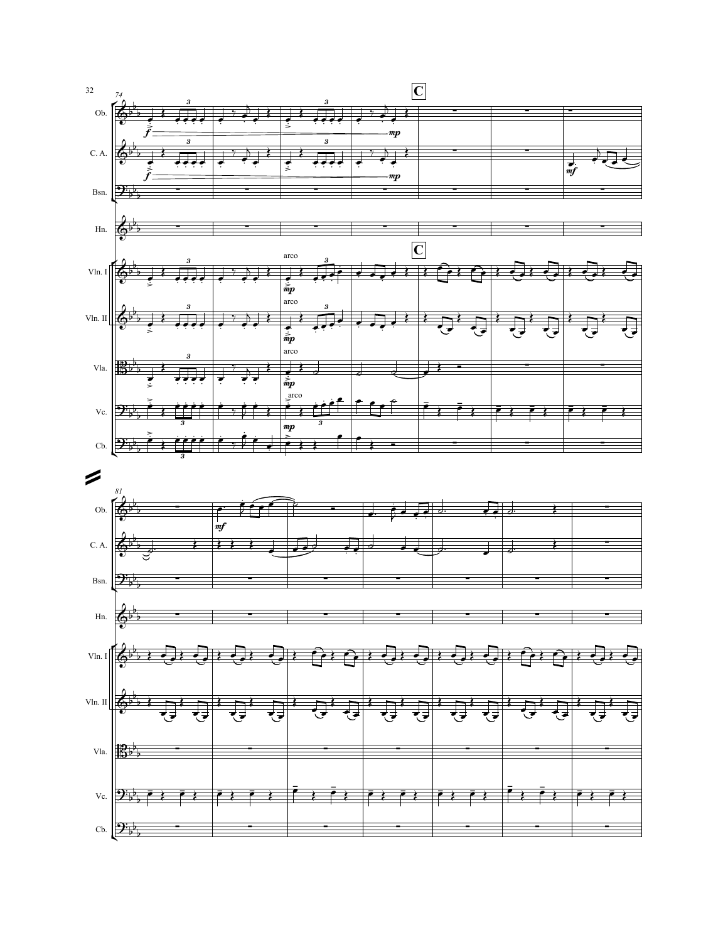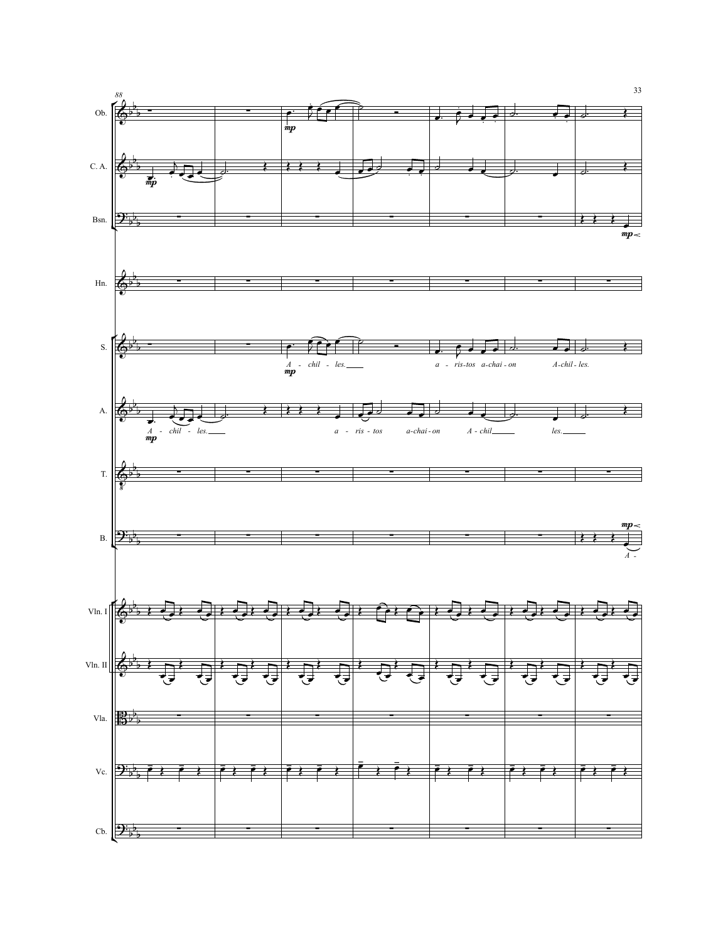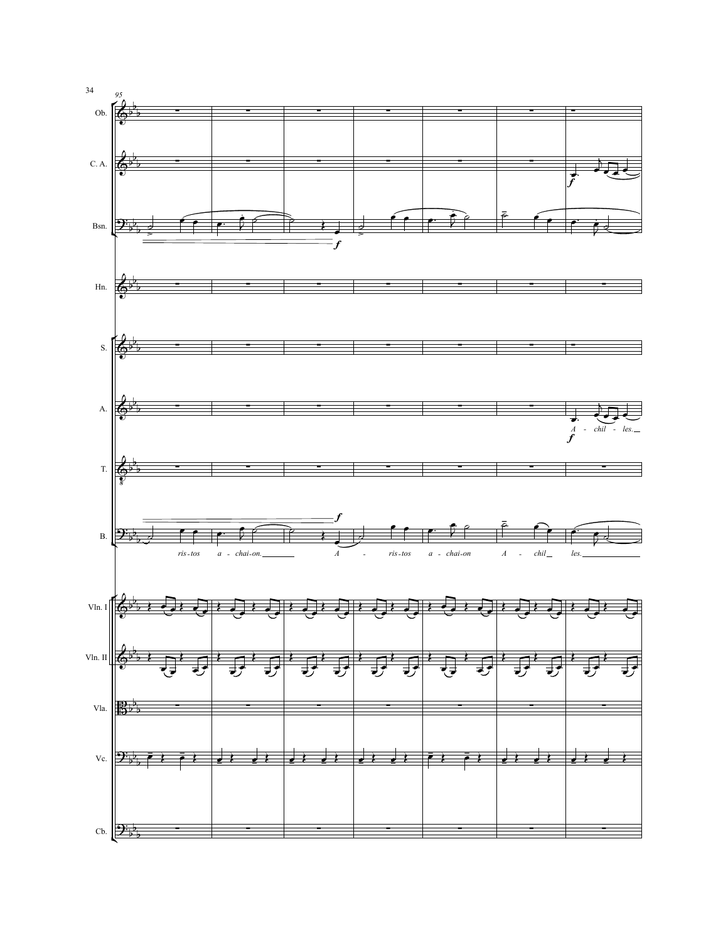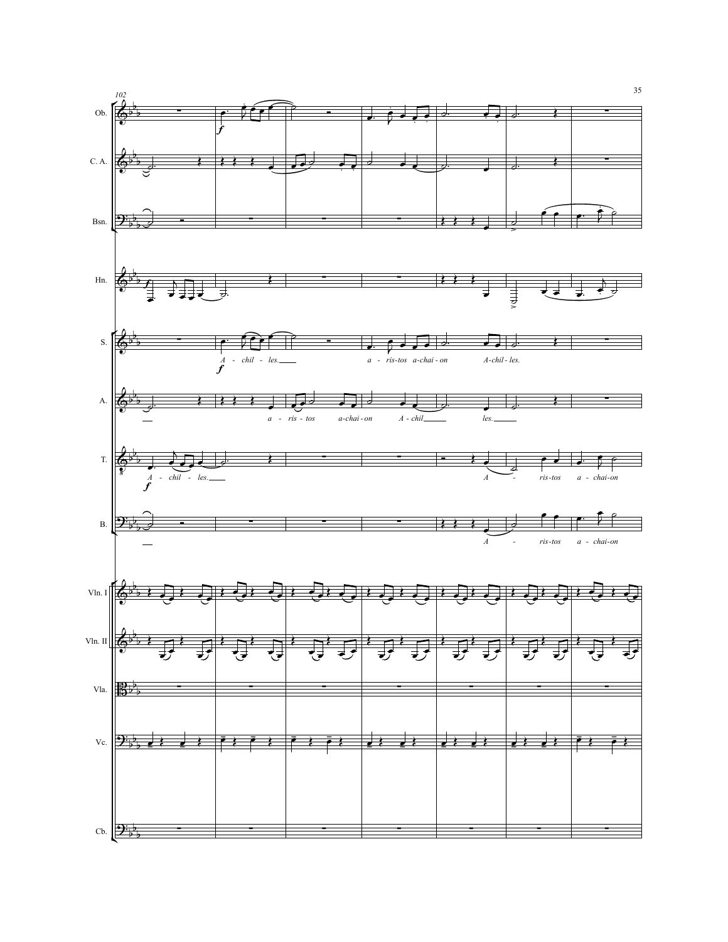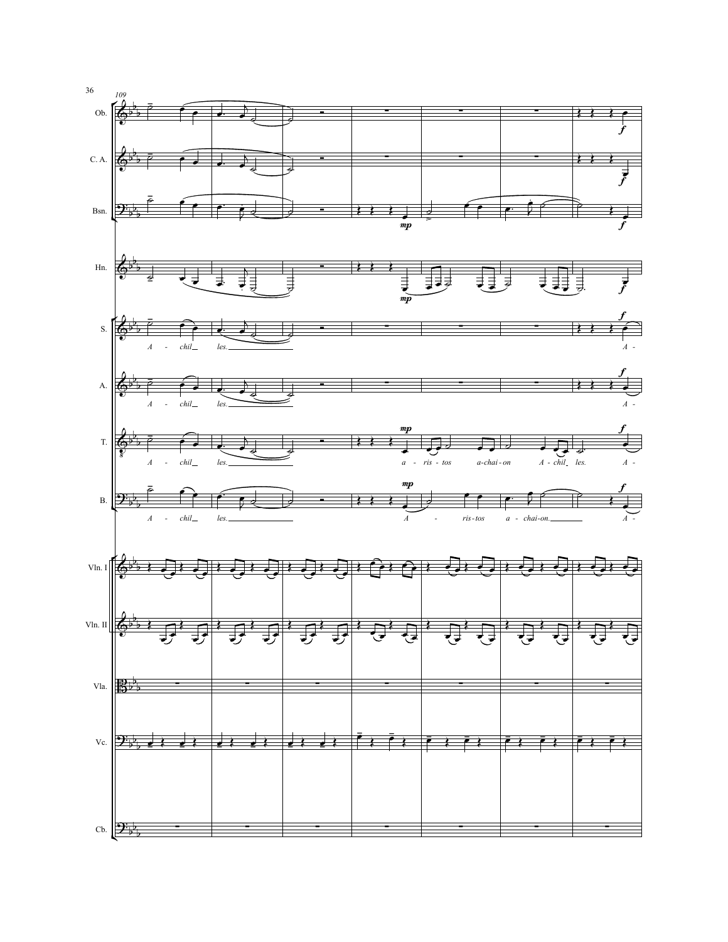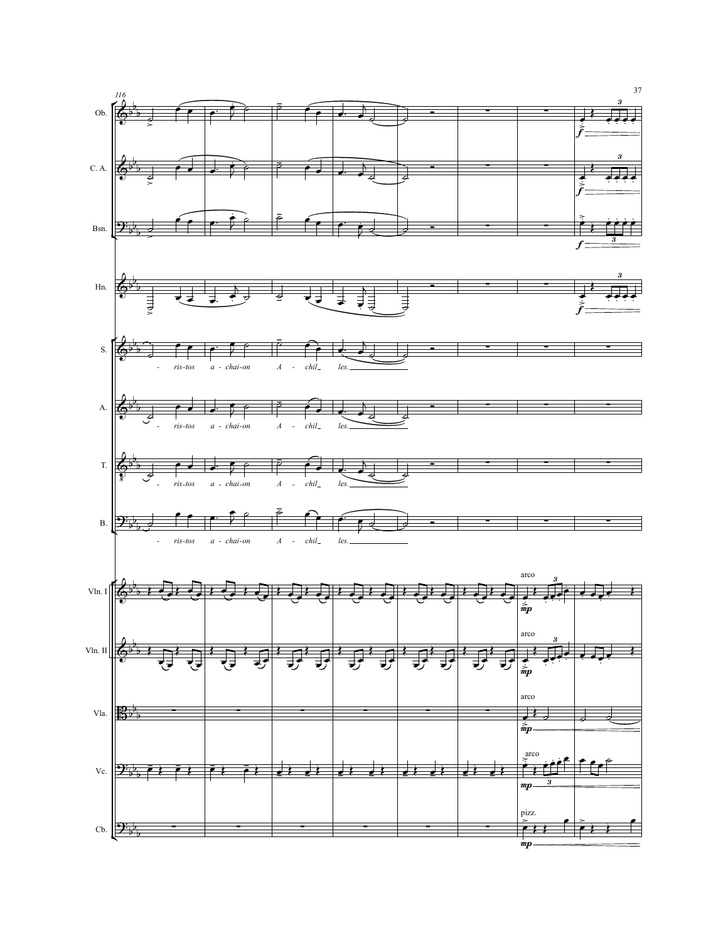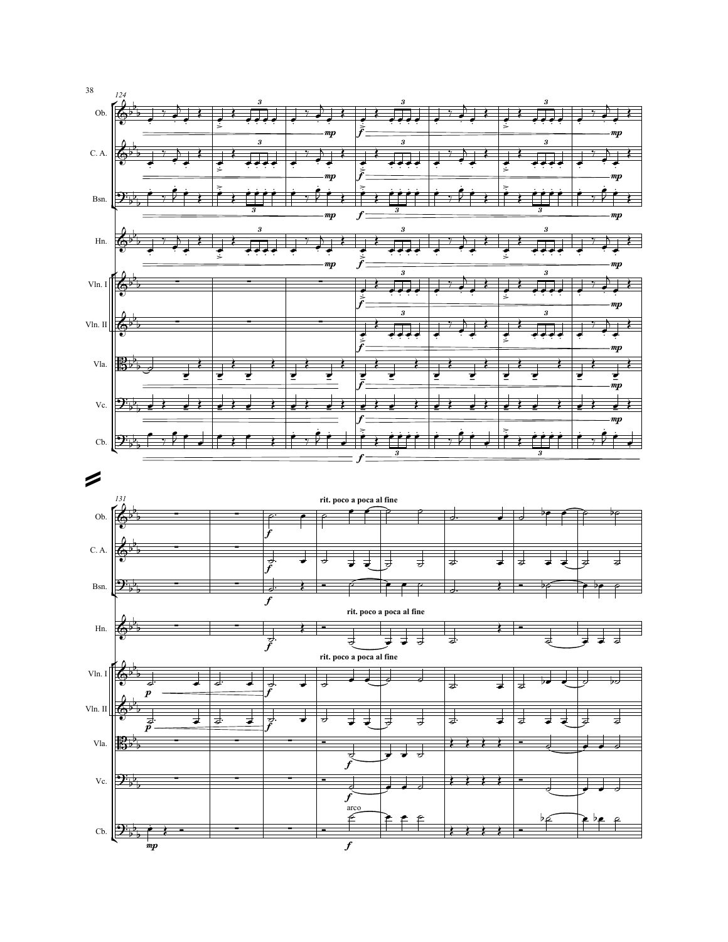

 $\overline{f}$ 

 $mp$